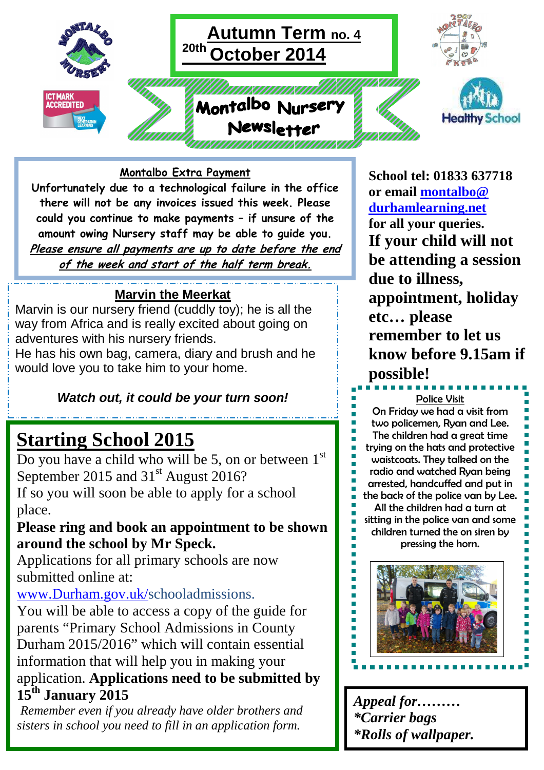

## **Montalbo Extra Payment**

**Unfortunately due to a technological failure in the office there will not be any invoices issued this week. Please could you continue to make payments – if unsure of the amount owing Nursery staff may be able to guide you. Please ensure all payments are up to date before the end of the week and start of the half term break.** 

## **Marvin the Meerkat**

Marvin is our nursery friend (cuddly toy); he is all the way from Africa and is really excited about going on adventures with his nursery friends.

He has his own bag, camera, diary and brush and he would love you to take him to your home.

## **Watch out, it could be your turn soon!**

# **Starting School 2015**

Do you have a child who will be 5, on or between  $1<sup>st</sup>$ September 2015 and 31<sup>st</sup> August 2016? If so you will soon be able to apply for a school place.

# **Please ring and book an appointment to be shown around the school by Mr Speck.**

Applications for all primary schools are now submitted online at:

# www.Durham.gov.uk/schooladmissions.

You will be able to access a copy of the guide for parents "Primary School Admissions in County Durham 2015/2016" which will contain essential information that will help you in making your application. **Applications need to be submitted by 15th January 2015** 

*Remember even if you already have older brothers and sisters in school you need to fill in an application form.* 

**School tel: 01833 637718 or email montalbo@ durhamlearning.net for all your queries. If your child will not be attending a session due to illness, appointment, holiday etc… please remember to let us know before 9.15am if possible!** 

Police Visit On Friday we had a visit from two policemen, Ryan and Lee. The children had a great time trying on the hats and protective waistcoats. They talked on the radio and watched Ryan being arrested, handcuffed and put in the back of the police van by Lee. All the children had a turn at sitting in the police van and some children turned the on siren by pressing the horn.



*Appeal for……… \*Carrier bags \*Rolls of wallpaper.*